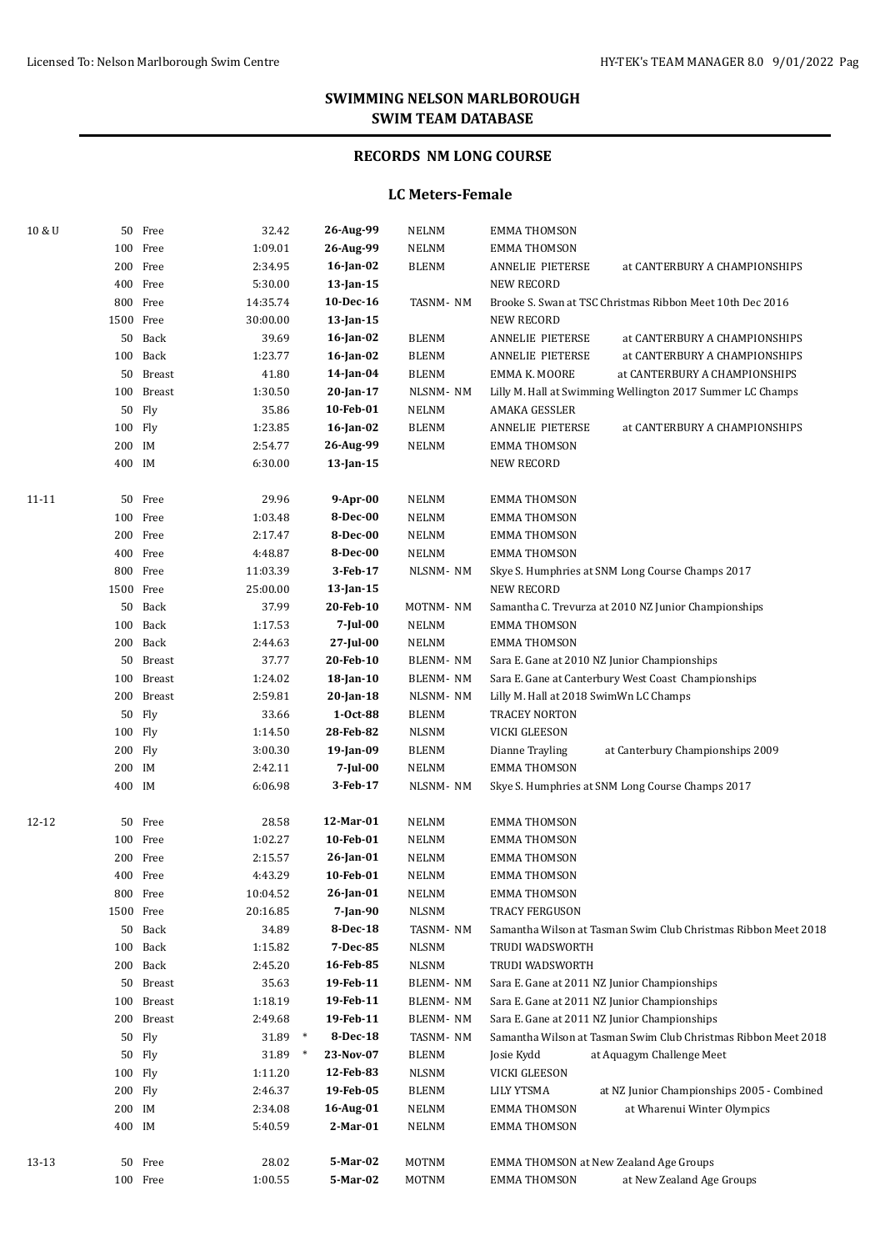### **RECORDS NM LONG COURSE**

#### **LC Meters-Female**

| 10 & U |           | 50 Free    | 32.42    |        | 26-Aug-99    | NELNM           | <b>EMMA THOMSON</b>                                            |
|--------|-----------|------------|----------|--------|--------------|-----------------|----------------------------------------------------------------|
|        |           | 100 Free   | 1:09.01  |        | 26-Aug-99    | NELNM           | <b>EMMA THOMSON</b>                                            |
|        |           | 200 Free   | 2:34.95  |        | $16$ -Jan-02 | <b>BLENM</b>    | <b>ANNELIE PIETERSE</b><br>at CANTERBURY A CHAMPIONSHIPS       |
|        |           | 400 Free   | 5:30.00  |        | 13-Jan-15    |                 | <b>NEW RECORD</b>                                              |
|        |           | 800 Free   | 14:35.74 |        | 10-Dec-16    | TASNM-NM        | Brooke S. Swan at TSC Christmas Ribbon Meet 10th Dec 2016      |
|        | 1500 Free |            | 30:00.00 |        | 13-Jan-15    |                 | <b>NEW RECORD</b>                                              |
|        |           | 50 Back    | 39.69    |        | $16$ -Jan-02 | <b>BLENM</b>    | <b>ANNELIE PIETERSE</b><br>at CANTERBURY A CHAMPIONSHIPS       |
|        |           | 100 Back   | 1:23.77  |        | $16$ -Jan-02 | <b>BLENM</b>    | at CANTERBURY A CHAMPIONSHIPS<br><b>ANNELIE PIETERSE</b>       |
|        |           | 50 Breast  | 41.80    |        | $14$ -Jan-04 | <b>BLENM</b>    | EMMA K. MOORE<br>at CANTERBURY A CHAMPIONSHIPS                 |
|        | 100       | Breast     | 1:30.50  |        | 20-Jan-17    | NLSNM-NM        | Lilly M. Hall at Swimming Wellington 2017 Summer LC Champs     |
|        |           | 50 Fly     | 35.86    |        | 10-Feb-01    | <b>NELNM</b>    | AMAKA GESSLER                                                  |
|        | 100 Fly   |            | 1:23.85  |        | $16$ -Jan-02 | <b>BLENM</b>    | <b>ANNELIE PIETERSE</b><br>at CANTERBURY A CHAMPIONSHIPS       |
|        | 200 IM    |            | 2:54.77  |        | 26-Aug-99    | <b>NELNM</b>    | <b>EMMA THOMSON</b>                                            |
|        | 400 IM    |            | 6:30.00  |        | $13$ -Jan-15 |                 | <b>NEW RECORD</b>                                              |
| 11-11  |           | 50 Free    | 29.96    |        | 9-Apr-00     | NELNM           | EMMA THOMSON                                                   |
|        |           | 100 Free   | 1:03.48  |        | 8-Dec-00     | $\sf NELNM$     | <b>EMMA THOMSON</b>                                            |
|        |           | 200 Free   | 2:17.47  |        | 8-Dec-00     | NELNM           | <b>EMMA THOMSON</b>                                            |
|        |           | 400 Free   | 4:48.87  |        | 8-Dec-00     | NELNM           | <b>EMMA THOMSON</b>                                            |
|        |           | 800 Free   | 11:03.39 |        | 3-Feb-17     | NLSNM-NM        | Skye S. Humphries at SNM Long Course Champs 2017               |
|        |           | 1500 Free  | 25:00.00 |        | 13-Jan-15    |                 | <b>NEW RECORD</b>                                              |
|        |           | 50 Back    | 37.99    |        | 20-Feb-10    | MOTNM-NM        | Samantha C. Trevurza at 2010 NZ Junior Championships           |
|        |           | 100 Back   | 1:17.53  |        | $7$ -Jul-00  | <b>NELNM</b>    | <b>EMMA THOMSON</b>                                            |
|        |           | 200 Back   | 2:44.63  |        | 27-Jul-00    | <b>NELNM</b>    | <b>EMMA THOMSON</b>                                            |
|        |           | 50 Breast  | 37.77    |        | 20-Feb-10    | <b>BLENM-NM</b> | Sara E. Gane at 2010 NZ Junior Championships                   |
|        |           | 100 Breast | 1:24.02  |        | 18-Jan-10    | <b>BLENM-NM</b> | Sara E. Gane at Canterbury West Coast Championships            |
|        |           | 200 Breast | 2:59.81  |        | 20-Jan-18    | NLSNM-NM        | Lilly M. Hall at 2018 SwimWn LC Champs                         |
|        |           | 50 Fly     | 33.66    |        | $1-0ct-88$   | <b>BLENM</b>    | TRACEY NORTON                                                  |
|        | 100 Fly   |            | 1:14.50  |        | 28-Feb-82    | <b>NLSNM</b>    | VICKI GLEESON                                                  |
|        | 200 Fly   |            | 3:00.30  |        | 19-Jan-09    | <b>BLENM</b>    | at Canterbury Championships 2009<br>Dianne Trayling            |
|        | 200 IM    |            | 2:42.11  |        | 7-Jul-00     | <b>NELNM</b>    | <b>EMMA THOMSON</b>                                            |
|        | 400 IM    |            | 6:06.98  |        | 3-Feb-17     | NLSNM-NM        | Skye S. Humphries at SNM Long Course Champs 2017               |
|        |           |            |          |        |              |                 |                                                                |
| 12-12  |           | 50 Free    | 28.58    |        | 12-Mar-01    | NELNM           | <b>EMMA THOMSON</b>                                            |
|        |           | 100 Free   | 1:02.27  |        | 10-Feb-01    | NELNM           | <b>EMMA THOMSON</b>                                            |
|        |           | 200 Free   | 2:15.57  |        | $26$ -Jan-01 | NELNM           | <b>EMMA THOMSON</b>                                            |
|        |           | 400 Free   | 4:43.29  |        | 10-Feb-01    | <b>NELNM</b>    | EMMA THOMSON                                                   |
|        |           | 800 Free   | 10:04.52 |        | 26-Jan-01    | <b>NELNM</b>    | <b>EMMA THOMSON</b>                                            |
|        |           | 1500 Free  | 20:16.85 |        | 7-Jan-90     | <b>NLSNM</b>    | TRACY FERGUSON                                                 |
|        |           | 50 Back    | 34.89    |        | 8-Dec-18     | TASNM-NM        | Samantha Wilson at Tasman Swim Club Christmas Ribbon Meet 2018 |
|        |           | 100 Back   | 1:15.82  |        | 7-Dec-85     | <b>NLSNM</b>    | TRUDI WADSWORTH                                                |
|        |           | 200 Back   | 2:45.20  |        | 16-Feb-85    | NLSNM           | TRUDI WADSWORTH                                                |
|        |           | 50 Breast  | 35.63    |        | 19-Feb-11    | <b>BLENM-NM</b> | Sara E. Gane at 2011 NZ Junior Championships                   |
|        |           | 100 Breast | 1:18.19  |        | 19-Feb-11    | BLENM-NM        | Sara E. Gane at 2011 NZ Junior Championships                   |
|        |           | 200 Breast | 2:49.68  |        | 19-Feb-11    | BLENM-NM        | Sara E. Gane at 2011 NZ Junior Championships                   |
|        |           | 50 Fly     | 31.89    | $*$    | 8-Dec-18     | TASNM-NM        | Samantha Wilson at Tasman Swim Club Christmas Ribbon Meet 2018 |
|        |           | 50 Flv     | 31.89    | $\ast$ | 23-Nov-07    | <b>BLENM</b>    | at Aquagym Challenge Meet<br>Josie Kydd                        |
|        | 100 Fly   |            | 1:11.20  |        | 12-Feb-83    | NLSNM           | VICKI GLEESON                                                  |
|        | 200 Fly   |            | 2:46.37  |        | 19-Feb-05    | BLENM           | at NZ Junior Championships 2005 - Combined<br>LILY YTSMA       |
|        | 200 IM    |            | 2:34.08  |        | 16-Aug-01    | NELNM           | at Wharenui Winter Olympics<br>EMMA THOMSON                    |
|        | 400 IM    |            | 5:40.59  |        | $2-Mar-01$   | NELNM           | EMMA THOMSON                                                   |
| 13-13  |           | 50 Free    | 28.02    |        | 5-Mar-02     | <b>MOTNM</b>    | EMMA THOMSON at New Zealand Age Groups                         |
|        |           | 100 Free   | 1:00.55  |        | 5-Mar-02     | <b>MOTNM</b>    | at New Zealand Age Groups<br>EMMA THOMSON                      |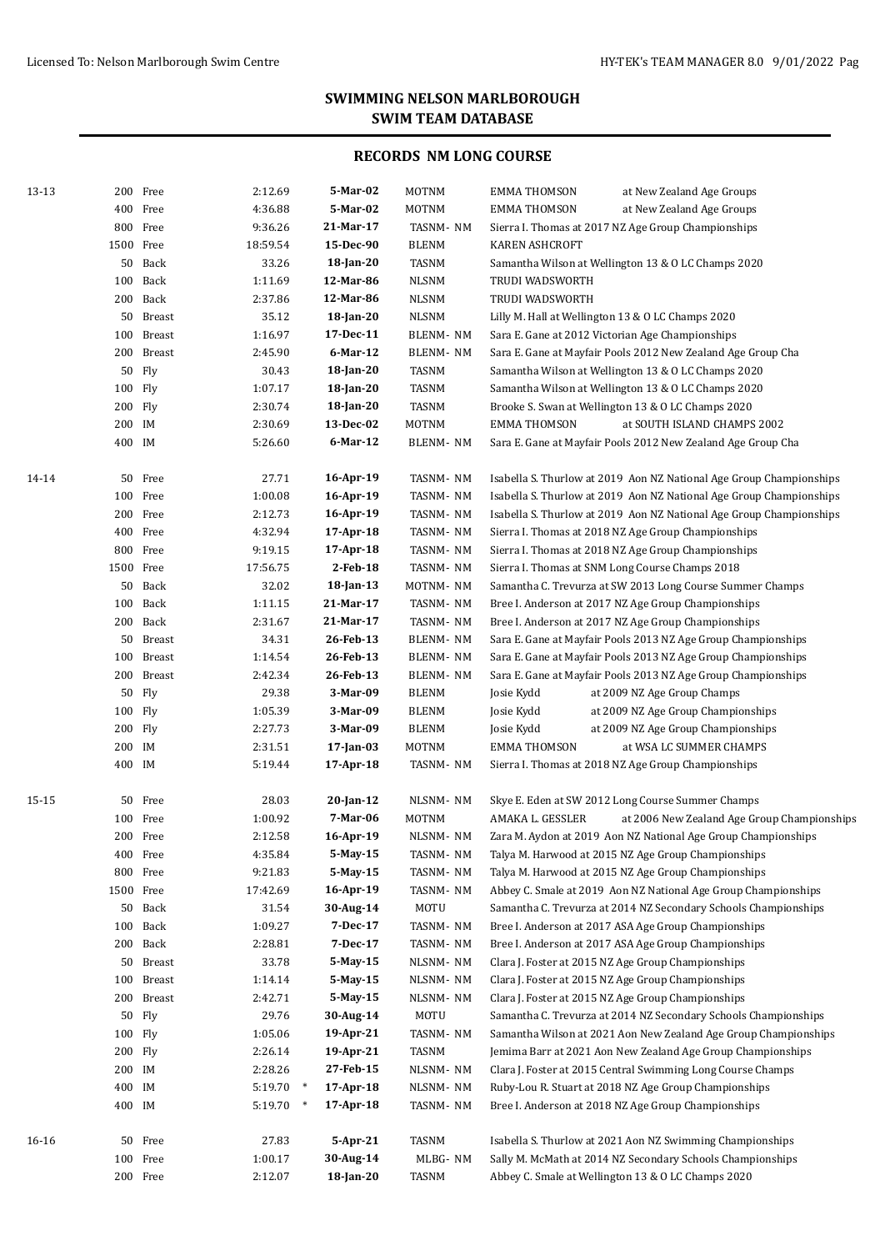| 13-13 |           | 200 Free   | 2:12.69  | 5-Mar-02            | <b>MOTNM</b>    | <b>EMMA THOMSON</b><br>at New Zealand Age Groups                    |
|-------|-----------|------------|----------|---------------------|-----------------|---------------------------------------------------------------------|
|       |           | 400 Free   | 4:36.88  | 5-Mar-02            | <b>MOTNM</b>    | <b>EMMA THOMSON</b><br>at New Zealand Age Groups                    |
|       | 800       | Free       | 9:36.26  | 21-Mar-17           | TASNM-NM        | Sierra I. Thomas at 2017 NZ Age Group Championships                 |
|       | 1500 Free |            | 18:59.54 | 15-Dec-90           | <b>BLENM</b>    | <b>KAREN ASHCROFT</b>                                               |
|       | 50        | Back       | 33.26    | 18-Jan-20           | <b>TASNM</b>    | Samantha Wilson at Wellington 13 & O LC Champs 2020                 |
|       | 100       | Back       | 1:11.69  | 12-Mar-86           | <b>NLSNM</b>    | TRUDI WADSWORTH                                                     |
|       | 200       | Back       | 2:37.86  | 12-Mar-86           | <b>NLSNM</b>    | TRUDI WADSWORTH                                                     |
|       |           | 50 Breast  | 35.12    | 18-Jan-20           | <b>NLSNM</b>    | Lilly M. Hall at Wellington 13 & O LC Champs 2020                   |
|       | 100       | Breast     | 1:16.97  | 17-Dec-11           | <b>BLENM-NM</b> | Sara E. Gane at 2012 Victorian Age Championships                    |
|       |           | 200 Breast | 2:45.90  | 6-Mar-12            | BLENM-NM        | Sara E. Gane at Mayfair Pools 2012 New Zealand Age Group Cha        |
|       | 50        | Fly        | 30.43    | 18-Jan-20           | <b>TASNM</b>    | Samantha Wilson at Wellington 13 & 0 LC Champs 2020                 |
|       | 100 Fly   |            | 1:07.17  | 18-Jan-20           | <b>TASNM</b>    | Samantha Wilson at Wellington 13 & 0 LC Champs 2020                 |
|       | 200       | Fly        | 2:30.74  | 18-Jan-20           | <b>TASNM</b>    | Brooke S. Swan at Wellington 13 & O LC Champs 2020                  |
|       | 200       | IM         | 2:30.69  | 13-Dec-02           | <b>MOTNM</b>    | <b>EMMA THOMSON</b><br>at SOUTH ISLAND CHAMPS 2002                  |
|       | 400 IM    |            | 5:26.60  | 6-Mar-12            | BLENM-NM        | Sara E. Gane at Mayfair Pools 2012 New Zealand Age Group Cha        |
| 14-14 |           | 50 Free    | 27.71    | 16-Apr-19           | TASNM-NM        | Isabella S. Thurlow at 2019 Aon NZ National Age Group Championships |
|       |           | 100 Free   | 1:00.08  | 16-Apr-19           | TASNM-NM        | Isabella S. Thurlow at 2019 Aon NZ National Age Group Championships |
|       |           | 200 Free   | 2:12.73  | 16-Apr-19           | TASNM-NM        | Isabella S. Thurlow at 2019 Aon NZ National Age Group Championships |
|       | 400       | Free       | 4:32.94  | 17-Apr-18           | TASNM-NM        | Sierra I. Thomas at 2018 NZ Age Group Championships                 |
|       | 800       | Free       | 9:19.15  | 17-Apr-18           | TASNM-NM        | Sierra I. Thomas at 2018 NZ Age Group Championships                 |
|       | 1500 Free |            | 17:56.75 | 2-Feb-18            | TASNM-NM        | Sierra I. Thomas at SNM Long Course Champs 2018                     |
|       | 50        | Back       | 32.02    | 18-Jan-13           | MOTNM-NM        | Samantha C. Trevurza at SW 2013 Long Course Summer Champs           |
|       | 100       | Back       | 1:11.15  | 21-Mar-17           | TASNM-NM        | Bree I. Anderson at 2017 NZ Age Group Championships                 |
|       |           | 200 Back   | 2:31.67  | 21-Mar-17           | TASNM-NM        | Bree I. Anderson at 2017 NZ Age Group Championships                 |
|       |           | 50 Breast  | 34.31    | 26-Feb-13           | BLENM-NM        | Sara E. Gane at Mayfair Pools 2013 NZ Age Group Championships       |
|       |           | 100 Breast | 1:14.54  | 26-Feb-13           | BLENM-NM        | Sara E. Gane at Mayfair Pools 2013 NZ Age Group Championships       |
|       |           | 200 Breast | 2:42.34  | 26-Feb-13           | BLENM-NM        | Sara E. Gane at Mayfair Pools 2013 NZ Age Group Championships       |
|       | 50        | Fly        | 29.38    | 3-Mar-09            | <b>BLENM</b>    | at 2009 NZ Age Group Champs<br>Josie Kydd                           |
|       | 100 Fly   |            | 1:05.39  | 3-Mar-09            | <b>BLENM</b>    | at 2009 NZ Age Group Championships<br>Josie Kydd                    |
|       | 200 Fly   |            | 2:27.73  | 3-Mar-09            | <b>BLENM</b>    | at 2009 NZ Age Group Championships<br>Josie Kydd                    |
|       | 200 IM    |            | 2:31.51  | $17$ -Jan-03        | <b>MOTNM</b>    | at WSA LC SUMMER CHAMPS<br>EMMA THOMSON                             |
|       | 400 IM    |            | 5:19.44  | $17$ -Apr-18        | TASNM-NM        | Sierra I. Thomas at 2018 NZ Age Group Championships                 |
| 15-15 | 50        | Free       | 28.03    | 20-Jan-12           | NLSNM-NM        | Skye E. Eden at SW 2012 Long Course Summer Champs                   |
|       | 100       | Free       | 1:00.92  | 7-Mar-06            | <b>MOTNM</b>    | AMAKA L. GESSLER<br>at 2006 New Zealand Age Group Championships     |
|       |           | 200 Free   | 2:12.58  | 16-Apr-19           | NLSNM-NM        | Zara M. Aydon at 2019 Aon NZ National Age Group Championships       |
|       |           | 400 Free   | 4:35.84  | 5-May-15            | TASNM-NM        | Talya M. Harwood at 2015 NZ Age Group Championships                 |
|       |           | 800 Free   | 9:21.83  | 5-May-15            | TASNM-NM        | Talya M. Harwood at 2015 NZ Age Group Championships                 |
|       | 1500 Free |            | 17:42.69 | 16-Apr-19           | TASNM-NM        | Abbey C. Smale at 2019 Aon NZ National Age Group Championships      |
|       | 50        | Back       | 31.54    | 30-Aug-14           | <b>MOTU</b>     | Samantha C. Trevurza at 2014 NZ Secondary Schools Championships     |
|       | 100       | Back       | 1:09.27  | 7-Dec-17            | TASNM-NM        | Bree I. Anderson at 2017 ASA Age Group Championships                |
|       |           | 200 Back   | 2:28.81  | 7-Dec-17            | TASNM-NM        | Bree I. Anderson at 2017 ASA Age Group Championships                |
|       |           | 50 Breast  | 33.78    | 5-May-15            | NLSNM-NM        | Clara J. Foster at 2015 NZ Age Group Championships                  |
|       | 100       | Breast     | 1:14.14  | 5-May-15            | NLSNM-NM        | Clara J. Foster at 2015 NZ Age Group Championships                  |
|       |           | 200 Breast | 2:42.71  | 5-May-15            | NLSNM-NM        | Clara J. Foster at 2015 NZ Age Group Championships                  |
|       | 50        | Fly        | 29.76    | 30-Aug-14           | <b>MOTU</b>     | Samantha C. Trevurza at 2014 NZ Secondary Schools Championships     |
|       |           | 100 Fly    | 1:05.06  | 19-Apr-21           | TASNM-NM        | Samantha Wilson at 2021 Aon New Zealand Age Group Championships     |
|       |           | 200 Fly    | 2:26.14  | 19-Apr-21           | <b>TASNM</b>    | Jemima Barr at 2021 Aon New Zealand Age Group Championships         |
|       | 200 IM    |            | 2:28.26  | 27-Feb-15           | NLSNM-NM        | Clara J. Foster at 2015 Central Swimming Long Course Champs         |
|       | 400 IM    |            | 5:19.70  | 17-Apr-18<br>$\ast$ | NLSNM-NM        | Ruby-Lou R. Stuart at 2018 NZ Age Group Championships               |
|       | 400 IM    |            | 5:19.70  | 17-Apr-18<br>$\ast$ | TASNM-NM        | Bree I. Anderson at 2018 NZ Age Group Championships                 |
| 16-16 |           | 50 Free    | 27.83    | $5-Apr-21$          | TASNM           | Isabella S. Thurlow at 2021 Aon NZ Swimming Championships           |
|       |           | 100 Free   | 1:00.17  | 30-Aug-14           | MLBG-NM         | Sally M. McMath at 2014 NZ Secondary Schools Championships          |
|       |           | 200 Free   | 2:12.07  | 18-Jan-20           | TASNM           | Abbey C. Smale at Wellington 13 & O LC Champs 2020                  |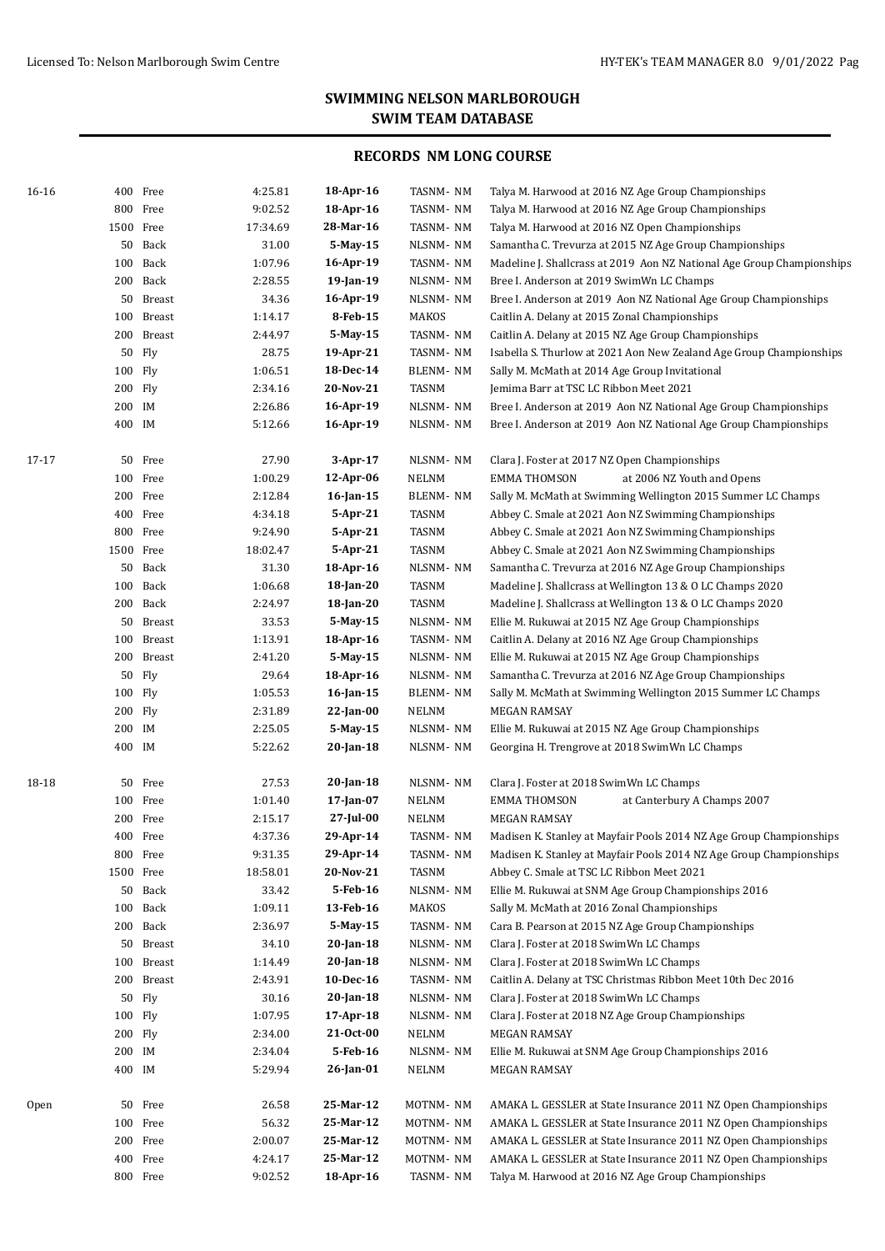| 16-16       |           | 400 Free   | 4:25.81  | 18-Apr-16       | TASNM-NM        | Talya M. Harwood at 2016 NZ Age Group Championships                    |
|-------------|-----------|------------|----------|-----------------|-----------------|------------------------------------------------------------------------|
|             |           | 800 Free   | 9:02.52  | 18-Apr-16       | TASNM-NM        | Talya M. Harwood at 2016 NZ Age Group Championships                    |
|             | 1500 Free |            | 17:34.69 | 28-Mar-16       | TASNM-NM        | Talya M. Harwood at 2016 NZ Open Championships                         |
|             |           | 50 Back    | 31.00    | 5-May-15        | NLSNM-NM        | Samantha C. Trevurza at 2015 NZ Age Group Championships                |
|             |           | 100 Back   | 1:07.96  | 16-Apr-19       | TASNM-NM        | Madeline J. Shallcrass at 2019 Aon NZ National Age Group Championships |
|             |           | 200 Back   | 2:28.55  | 19-Jan-19       | NLSNM-NM        | Bree I. Anderson at 2019 SwimWn LC Champs                              |
|             |           | 50 Breast  | 34.36    | 16-Apr-19       | NLSNM-NM        | Bree I. Anderson at 2019 Aon NZ National Age Group Championships       |
|             |           | 100 Breast | 1:14.17  | 8-Feb-15        | <b>MAKOS</b>    | Caitlin A. Delany at 2015 Zonal Championships                          |
|             |           | 200 Breast | 2:44.97  | 5-May-15        | TASNM-NM        | Caitlin A. Delany at 2015 NZ Age Group Championships                   |
|             |           | 50 Fly     | 28.75    | 19-Apr-21       | TASNM-NM        | Isabella S. Thurlow at 2021 Aon New Zealand Age Group Championships    |
|             | 100 Fly   |            | 1:06.51  | 18-Dec-14       | BLENM-NM        | Sally M. McMath at 2014 Age Group Invitational                         |
|             | 200 Fly   |            | 2:34.16  | 20-Nov-21       | <b>TASNM</b>    | Jemima Barr at TSC LC Ribbon Meet 2021                                 |
|             | 200 IM    |            | 2:26.86  | 16-Apr-19       | NLSNM-NM        | Bree I. Anderson at 2019 Aon NZ National Age Group Championships       |
|             | 400 IM    |            | 5:12.66  | 16-Apr-19       | NLSNM-NM        | Bree I. Anderson at 2019 Aon NZ National Age Group Championships       |
| 17-17       |           | 50 Free    | 27.90    | 3-Apr-17        | NLSNM-NM        | Clara J. Foster at 2017 NZ Open Championships                          |
|             |           | 100 Free   | 1:00.29  | 12-Apr-06       | <b>NELNM</b>    | <b>EMMA THOMSON</b><br>at 2006 NZ Youth and Opens                      |
|             |           | 200 Free   | 2:12.84  | $16$ -Jan- $15$ | <b>BLENM-NM</b> | Sally M. McMath at Swimming Wellington 2015 Summer LC Champs           |
|             |           | 400 Free   | 4:34.18  | 5-Apr-21        | <b>TASNM</b>    | Abbey C. Smale at 2021 Aon NZ Swimming Championships                   |
|             |           | 800 Free   | 9:24.90  | 5-Apr-21        | TASNM           | Abbey C. Smale at 2021 Aon NZ Swimming Championships                   |
|             | 1500 Free |            | 18:02.47 | 5-Apr-21        | <b>TASNM</b>    | Abbey C. Smale at 2021 Aon NZ Swimming Championships                   |
|             |           | 50 Back    | 31.30    | 18-Apr-16       | NLSNM-NM        | Samantha C. Trevurza at 2016 NZ Age Group Championships                |
|             |           | 100 Back   | 1:06.68  | 18-Jan-20       | TASNM           | Madeline J. Shallcrass at Wellington 13 & O LC Champs 2020             |
|             |           | 200 Back   | 2:24.97  | 18-Jan-20       | <b>TASNM</b>    | Madeline J. Shallcrass at Wellington 13 & O LC Champs 2020             |
|             |           | 50 Breast  | 33.53    | 5-May-15        | NLSNM-NM        | Ellie M. Rukuwai at 2015 NZ Age Group Championships                    |
|             |           | 100 Breast | 1:13.91  | 18-Apr-16       | TASNM-NM        | Caitlin A. Delany at 2016 NZ Age Group Championships                   |
|             |           | 200 Breast | 2:41.20  | 5-May-15        | NLSNM-NM        | Ellie M. Rukuwai at 2015 NZ Age Group Championships                    |
|             |           | 50 Fly     | 29.64    | 18-Apr-16       | NLSNM-NM        | Samantha C. Trevurza at 2016 NZ Age Group Championships                |
|             | 100 Fly   |            | 1:05.53  | $16$ -Jan- $15$ | BLENM-NM        | Sally M. McMath at Swimming Wellington 2015 Summer LC Champs           |
|             | 200 Fly   |            | 2:31.89  | $22$ -Jan-00    | <b>NELNM</b>    | <b>MEGAN RAMSAY</b>                                                    |
|             | 200 IM    |            | 2:25.05  | 5-May-15        | NLSNM-NM        | Ellie M. Rukuwai at 2015 NZ Age Group Championships                    |
|             | 400 IM    |            | 5:22.62  | $20$ -Jan-18    | NLSNM-NM        | Georgina H. Trengrove at 2018 SwimWn LC Champs                         |
| 18-18       |           | 50 Free    | 27.53    | $20$ -Jan-18    | NLSNM-NM        | Clara J. Foster at 2018 SwimWn LC Champs                               |
|             |           | 100 Free   | 1:01.40  | 17-Jan-07       | <b>NELNM</b>    | <b>EMMA THOMSON</b><br>at Canterbury A Champs 2007                     |
|             |           | 200 Free   | 2:15.17  | 27-Jul-00       | <b>NELNM</b>    | MEGAN RAMSAY                                                           |
|             |           | 400 Free   | 4:37.36  | 29-Apr-14       | TASNM- NM       | Madisen K. Stanley at Mayfair Pools 2014 NZ Age Group Championships    |
|             |           | 800 Free   | 9:31.35  | 29-Apr-14       | TASNM- NM       | Madisen K. Stanley at Mayfair Pools 2014 NZ Age Group Championships    |
|             | 1500 Free |            | 18:58.01 | 20-Nov-21       | TASNM           | Abbey C. Smale at TSC LC Ribbon Meet 2021                              |
|             |           | 50 Back    | 33.42    | 5-Feb-16        | NLSNM-NM        | Ellie M. Rukuwai at SNM Age Group Championships 2016                   |
|             |           | 100 Back   | 1:09.11  | 13-Feb-16       | MAKOS           | Sally M. McMath at 2016 Zonal Championships                            |
|             |           | 200 Back   | 2:36.97  | 5-May-15        | TASNM-NM        | Cara B. Pearson at 2015 NZ Age Group Championships                     |
|             |           | 50 Breast  | 34.10    | $20$ -Jan-18    | NLSNM-NM        | Clara J. Foster at 2018 SwimWn LC Champs                               |
|             |           | 100 Breast | 1:14.49  | $20$ -Jan-18    | NLSNM-NM        | Clara J. Foster at 2018 SwimWn LC Champs                               |
|             |           | 200 Breast | 2:43.91  | 10-Dec-16       | TASNM-NM        | Caitlin A. Delany at TSC Christmas Ribbon Meet 10th Dec 2016           |
|             |           | 50 Fly     | 30.16    | $20$ -Jan-18    | NLSNM-NM        | Clara J. Foster at 2018 SwimWn LC Champs                               |
|             | 100 Fly   |            | 1:07.95  | 17-Apr-18       | NLSNM-NM        | Clara J. Foster at 2018 NZ Age Group Championships                     |
|             | 200 Fly   |            | 2:34.00  | 21-Oct-00       | <b>NELNM</b>    | MEGAN RAMSAY                                                           |
|             | 200 IM    |            | 2:34.04  | 5-Feb-16        | NLSNM-NM        | Ellie M. Rukuwai at SNM Age Group Championships 2016                   |
|             | 400 IM    |            | 5:29.94  | 26-Jan-01       | <b>NELNM</b>    | <b>MEGAN RAMSAY</b>                                                    |
| <b>Open</b> |           | 50 Free    | 26.58    | 25-Mar-12       | MOTNM-NM        | AMAKA L. GESSLER at State Insurance 2011 NZ Open Championships         |
|             |           | 100 Free   | 56.32    | 25-Mar-12       | MOTNM-NM        | AMAKA L. GESSLER at State Insurance 2011 NZ Open Championships         |
|             |           | 200 Free   | 2:00.07  | 25-Mar-12       | MOTNM-NM        | AMAKA L. GESSLER at State Insurance 2011 NZ Open Championships         |
|             |           | 400 Free   | 4:24.17  | 25-Mar-12       | MOTNM-NM        | AMAKA L. GESSLER at State Insurance 2011 NZ Open Championships         |
|             |           | 800 Free   | 9:02.52  | 18-Apr-16       | TASNM-NM        | Talya M. Harwood at 2016 NZ Age Group Championships                    |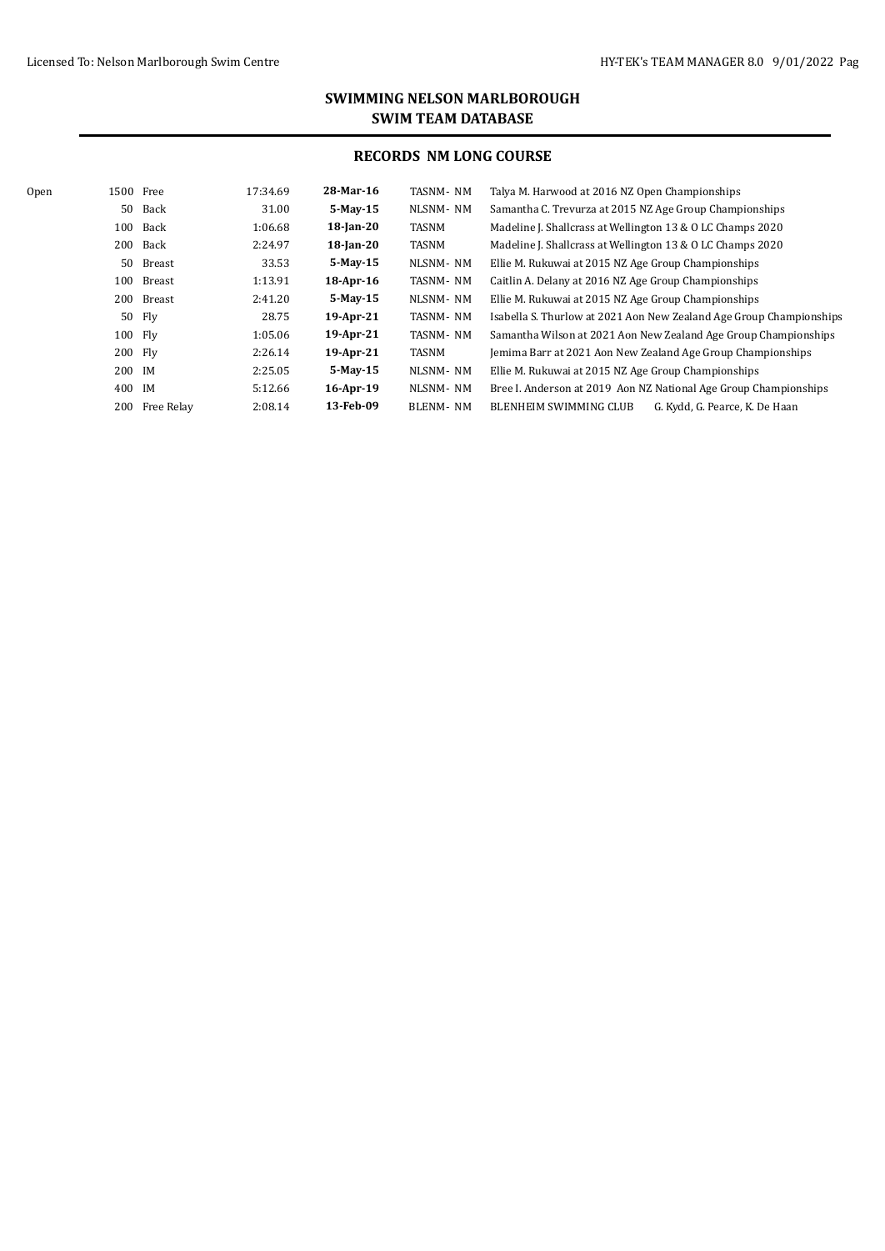| Open | 1500 Free |            | 17:34.69 | 28-Mar-16    | TASNM-NM        | Talya M. Harwood at 2016 NZ Open Championships                      |  |  |
|------|-----------|------------|----------|--------------|-----------------|---------------------------------------------------------------------|--|--|
|      | 50        | Back       | 31.00    | $5-Mav-15$   | NLSNM-NM        | Samantha C. Trevurza at 2015 NZ Age Group Championships             |  |  |
|      | 100       | Back       | 1:06.68  | $18$ -Jan-20 | <b>TASNM</b>    | Madeline J. Shallcrass at Wellington 13 & 0 LC Champs 2020          |  |  |
|      | 200       | Back       | 2:24.97  | $18$ -Jan-20 | <b>TASNM</b>    | Madeline J. Shallcrass at Wellington 13 & 0 LC Champs 2020          |  |  |
|      | 50        | Breast     | 33.53    | $5-Mav-15$   | <b>NLSNM-NM</b> | Ellie M. Rukuwai at 2015 NZ Age Group Championships                 |  |  |
|      | 100       | Breast     | 1:13.91  | 18-Apr-16    | TASNM-NM        | Caitlin A. Delany at 2016 NZ Age Group Championships                |  |  |
|      |           | 200 Breast | 2:41.20  | $5-Mav-15$   | <b>NLSNM-NM</b> | Ellie M. Rukuwai at 2015 NZ Age Group Championships                 |  |  |
|      |           | $50$ Fly   | 28.75    | 19-Apr-21    | TASNM-NM        | Isabella S. Thurlow at 2021 Aon New Zealand Age Group Championships |  |  |
|      | 100 Fly   |            | 1:05.06  | 19-Apr-21    | TASNM-NM        | Samantha Wilson at 2021 Aon New Zealand Age Group Championships     |  |  |
|      | 200 Fly   |            | 2:26.14  | 19-Apr-21    | TASNM           | Jemima Barr at 2021 Aon New Zealand Age Group Championships         |  |  |
|      | 200 IM    |            | 2:25.05  | $5-Mav-15$   | <b>NLSNM-NM</b> | Ellie M. Rukuwai at 2015 NZ Age Group Championships                 |  |  |
|      | 400 IM    |            | 5:12.66  | $16$ -Apr-19 | NLSNM-NM        | Bree I. Anderson at 2019 Aon NZ National Age Group Championships    |  |  |
|      | 200       | Free Relay | 2:08.14  | 13-Feb-09    | <b>BLENM-NM</b> | BLENHEIM SWIMMING CLUB<br>G. Kydd, G. Pearce, K. De Haan            |  |  |
|      |           |            |          |              |                 |                                                                     |  |  |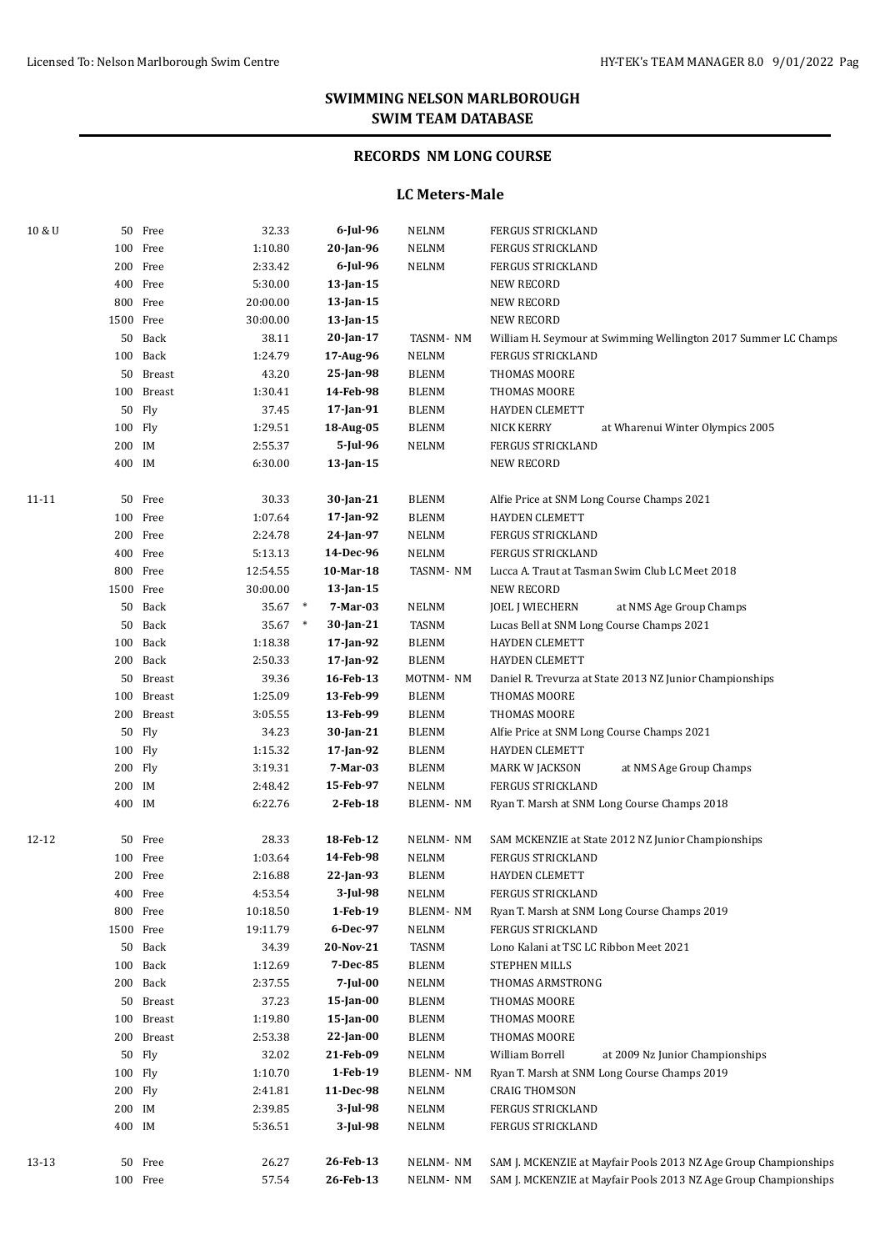### **RECORDS NM LONG COURSE**

#### **LC Meters-Male**

| 10 & U |           | 50 Free    | 32.33     | 6-Jul-96     | NELNM           | <b>FERGUS STRICKLAND</b>                                         |
|--------|-----------|------------|-----------|--------------|-----------------|------------------------------------------------------------------|
|        |           | 100 Free   | 1:10.80   | 20-Jan-96    | <b>NELNM</b>    | <b>FERGUS STRICKLAND</b>                                         |
|        |           | 200 Free   | 2:33.42   | 6-Jul-96     | <b>NELNM</b>    | <b>FERGUS STRICKLAND</b>                                         |
|        |           | 400 Free   | 5:30.00   | 13-Jan-15    |                 | NEW RECORD                                                       |
|        |           | 800 Free   | 20:00.00  | $13$ -Jan-15 |                 | <b>NEW RECORD</b>                                                |
|        | 1500 Free |            | 30:00.00  | $13$ -Jan-15 |                 | <b>NEW RECORD</b>                                                |
|        |           | 50 Back    | 38.11     | 20-Jan-17    | TASNM-NM        | William H. Seymour at Swimming Wellington 2017 Summer LC Champs  |
|        |           | 100 Back   | 1:24.79   | 17-Aug-96    | <b>NELNM</b>    | <b>FERGUS STRICKLAND</b>                                         |
|        |           | 50 Breast  | 43.20     | 25-Jan-98    | <b>BLENM</b>    | THOMAS MOORE                                                     |
|        |           | 100 Breast | 1:30.41   | 14-Feb-98    | <b>BLENM</b>    | THOMAS MOORE                                                     |
|        |           | 50 Fly     | 37.45     | 17-Jan-91    | <b>BLENM</b>    | <b>HAYDEN CLEMETT</b>                                            |
|        | 100 Fly   |            | 1:29.51   | 18-Aug-05    | <b>BLENM</b>    | <b>NICK KERRY</b><br>at Wharenui Winter Olympics 2005            |
|        | 200 IM    |            | 2:55.37   | 5-Jul-96     | <b>NELNM</b>    | <b>FERGUS STRICKLAND</b>                                         |
|        | 400 IM    |            | 6:30.00   | $13$ -Jan-15 |                 | <b>NEW RECORD</b>                                                |
|        |           |            |           |              |                 |                                                                  |
| 11-11  | 50        | Free       | 30.33     | 30-Jan-21    | <b>BLENM</b>    | Alfie Price at SNM Long Course Champs 2021                       |
|        |           | 100 Free   | 1:07.64   | 17-Jan-92    | <b>BLENM</b>    | <b>HAYDEN CLEMETT</b>                                            |
|        |           | 200 Free   | 2:24.78   | 24-Jan-97    | <b>NELNM</b>    | <b>FERGUS STRICKLAND</b>                                         |
|        |           | 400 Free   | 5:13.13   | 14-Dec-96    | <b>NELNM</b>    | FERGUS STRICKLAND                                                |
|        |           | 800 Free   | 12:54.55  | 10-Mar-18    | TASNM-NM        | Lucca A. Traut at Tasman Swim Club LC Meet 2018                  |
|        |           | 1500 Free  | 30:00.00  | 13-Jan-15    |                 | <b>NEW RECORD</b>                                                |
|        |           | 50 Back    | 35.67 *   | 7-Mar-03     | <b>NELNM</b>    | <b>JOEL J WIECHERN</b><br>at NMS Age Group Champs                |
|        |           | 50 Back    | $35.67$ * | 30-Jan-21    | TASNM           | Lucas Bell at SNM Long Course Champs 2021                        |
|        |           | 100 Back   | 1:18.38   | 17-Jan-92    | <b>BLENM</b>    | <b>HAYDEN CLEMETT</b>                                            |
|        |           | 200 Back   | 2:50.33   | 17-Jan-92    | <b>BLENM</b>    | <b>HAYDEN CLEMETT</b>                                            |
|        |           | 50 Breast  | 39.36     | 16-Feb-13    | MOTNM-NM        | Daniel R. Trevurza at State 2013 NZ Junior Championships         |
|        |           | 100 Breast | 1:25.09   | 13-Feb-99    | <b>BLENM</b>    | THOMAS MOORE                                                     |
|        |           | 200 Breast | 3:05.55   | 13-Feb-99    | <b>BLENM</b>    | THOMAS MOORE                                                     |
|        |           | 50 Fly     | 34.23     | 30-Jan-21    | <b>BLENM</b>    | Alfie Price at SNM Long Course Champs 2021                       |
|        | 100 Fly   |            | 1:15.32   | 17-Jan-92    | <b>BLENM</b>    | <b>HAYDEN CLEMETT</b>                                            |
|        | 200 Fly   |            | 3:19.31   | 7-Mar-03     | <b>BLENM</b>    | <b>MARK W JACKSON</b><br>at NMS Age Group Champs                 |
|        | 200 IM    |            | 2:48.42   | 15-Feb-97    | <b>NELNM</b>    | <b>FERGUS STRICKLAND</b>                                         |
|        | 400 IM    |            | 6:22.76   | 2-Feb-18     | BLENM-NM        | Ryan T. Marsh at SNM Long Course Champs 2018                     |
|        |           |            |           |              |                 |                                                                  |
| 12-12  |           | 50 Free    | 28.33     | 18-Feb-12    | NELNM-NM        | SAM MCKENZIE at State 2012 NZ Junior Championships               |
|        |           | 100 Free   | 1:03.64   | 14-Feb-98    | NELNM           | <b>FERGUS STRICKLAND</b>                                         |
|        |           | 200 Free   | 2:16.88   | 22-Jan-93    | <b>BLENM</b>    | <b>HAYDEN CLEMETT</b>                                            |
|        |           | 400 Free   | 4:53.54   | 3-Jul-98     | <b>NELNM</b>    | FERGUS STRICKLAND                                                |
|        |           | 800 Free   | 10:18.50  | 1-Feb-19     | <b>BLENM-NM</b> | Ryan T. Marsh at SNM Long Course Champs 2019                     |
|        | 1500 Free |            | 19:11.79  | 6-Dec-97     | <b>NELNM</b>    | <b>FERGUS STRICKLAND</b>                                         |
|        |           | 50 Back    | 34.39     | 20-Nov-21    | TASNM           | Lono Kalani at TSC LC Ribbon Meet 2021                           |
|        |           | 100 Back   | 1:12.69   | 7-Dec-85     | <b>BLENM</b>    | STEPHEN MILLS                                                    |
|        |           | 200 Back   | 2:37.55   | 7-Jul-00     | <b>NELNM</b>    | THOMAS ARMSTRONG                                                 |
|        |           | 50 Breast  | 37.23     | 15-Jan-00    | <b>BLENM</b>    | THOMAS MOORE                                                     |
|        |           | 100 Breast | 1:19.80   | $15$ -Jan-00 | <b>BLENM</b>    | THOMAS MOORE                                                     |
|        |           | 200 Breast | 2:53.38   | $22$ -Jan-00 | <b>BLENM</b>    | THOMAS MOORE                                                     |
|        |           | 50 Fly     | 32.02     | 21-Feb-09    | <b>NELNM</b>    | William Borrell<br>at 2009 Nz Junior Championships               |
|        | 100 Flv   |            | 1:10.70   | 1-Feb-19     | <b>BLENM-NM</b> | Ryan T. Marsh at SNM Long Course Champs 2019                     |
|        | 200 Fly   |            | 2:41.81   | 11-Dec-98    | <b>NELNM</b>    | <b>CRAIG THOMSON</b>                                             |
|        | 200 IM    |            | 2:39.85   | 3-Jul-98     | <b>NELNM</b>    | <b>FERGUS STRICKLAND</b>                                         |
|        | 400 IM    |            | 5:36.51   | 3-Jul-98     | <b>NELNM</b>    | FERGUS STRICKLAND                                                |
|        |           |            |           |              |                 |                                                                  |
| 13-13  | 50        | Free       | 26.27     | 26-Feb-13    | NELNM-NM        | SAM J. MCKENZIE at Mayfair Pools 2013 NZ Age Group Championships |
|        |           | 100 Free   | 57.54     | 26-Feb-13    | NELNM-NM        | SAM J. MCKENZIE at Mayfair Pools 2013 NZ Age Group Championships |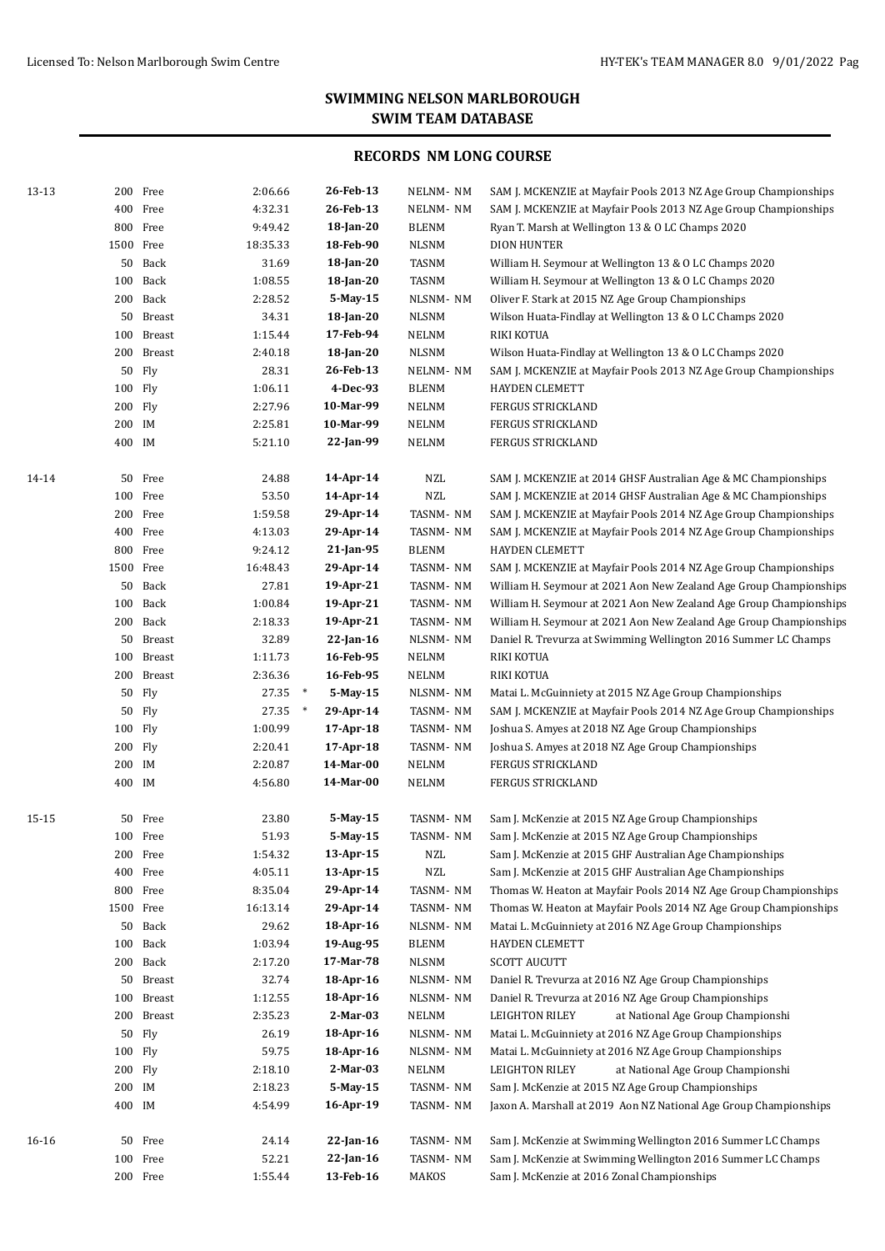| 13-13 |           | 200 Free      | 2:06.66  | 26-Feb-13          | NELNM-NM     | SAM J. MCKENZIE at Mayfair Pools 2013 NZ Age Group Championships   |  |
|-------|-----------|---------------|----------|--------------------|--------------|--------------------------------------------------------------------|--|
|       |           | 400 Free      | 4:32.31  | 26-Feb-13          | NELNM-NM     | SAM J. MCKENZIE at Mayfair Pools 2013 NZ Age Group Championships   |  |
|       |           | 800 Free      | 9:49.42  | 18-Jan-20          | <b>BLENM</b> | Ryan T. Marsh at Wellington 13 & O LC Champs 2020                  |  |
|       | 1500 Free |               | 18:35.33 | 18-Feb-90          | <b>NLSNM</b> | <b>DION HUNTER</b>                                                 |  |
|       |           | 50 Back       | 31.69    | 18-Jan-20          | TASNM        | William H. Seymour at Wellington 13 & O LC Champs 2020             |  |
|       |           | 100 Back      | 1:08.55  | 18-Jan-20          | TASNM        | William H. Seymour at Wellington 13 & O LC Champs 2020             |  |
|       |           | 200 Back      | 2:28.52  | 5-May-15           | NLSNM-NM     | Oliver F. Stark at 2015 NZ Age Group Championships                 |  |
|       |           | 50 Breast     | 34.31    | 18-Jan-20          | <b>NLSNM</b> | Wilson Huata-Findlay at Wellington 13 & O LC Champs 2020           |  |
|       |           | 100 Breast    | 1:15.44  | 17-Feb-94          | <b>NELNM</b> | RIKI KOTUA                                                         |  |
|       |           |               |          |                    |              |                                                                    |  |
|       |           | 200 Breast    | 2:40.18  | 18-Jan-20          | <b>NLSNM</b> | Wilson Huata-Findlay at Wellington 13 & O LC Champs 2020           |  |
|       | 50        | Fly           | 28.31    | 26-Feb-13          | NELNM-NM     | SAM J. MCKENZIE at Mayfair Pools 2013 NZ Age Group Championships   |  |
|       | 100 Fly   |               | 1:06.11  | 4-Dec-93           | <b>BLENM</b> | <b>HAYDEN CLEMETT</b>                                              |  |
|       | 200 Fly   |               | 2:27.96  | 10-Mar-99          | NELNM        | FERGUS STRICKLAND                                                  |  |
|       | 200 IM    |               | 2:25.81  | 10-Mar-99          | NELNM        | <b>FERGUS STRICKLAND</b>                                           |  |
|       | 400 IM    |               | 5:21.10  | 22-Jan-99          | NELNM        | FERGUS STRICKLAND                                                  |  |
| 14-14 |           | 50 Free       | 24.88    | 14-Apr-14          | <b>NZL</b>   | SAM J. MCKENZIE at 2014 GHSF Australian Age & MC Championships     |  |
|       |           | 100 Free      | 53.50    | 14-Apr-14          | <b>NZL</b>   | SAM J. MCKENZIE at 2014 GHSF Australian Age & MC Championships     |  |
|       |           | 200 Free      | 1:59.58  | 29-Apr-14          | TASNM-NM     | SAM J. MCKENZIE at Mayfair Pools 2014 NZ Age Group Championships   |  |
|       |           | 400 Free      | 4:13.03  | 29-Apr-14          | TASNM-NM     | SAM J. MCKENZIE at Mayfair Pools 2014 NZ Age Group Championships   |  |
|       |           | 800 Free      | 9:24.12  | $21$ -Jan-95       | <b>BLENM</b> | <b>HAYDEN CLEMETT</b>                                              |  |
|       | 1500 Free |               | 16:48.43 | 29-Apr-14          | TASNM-NM     | SAM J. MCKENZIE at Mayfair Pools 2014 NZ Age Group Championships   |  |
|       |           | 50 Back       | 27.81    | 19-Apr-21          | TASNM- NM    | William H. Seymour at 2021 Aon New Zealand Age Group Championships |  |
|       |           | 100 Back      | 1:00.84  | 19-Apr-21          | TASNM- NM    | William H. Seymour at 2021 Aon New Zealand Age Group Championships |  |
|       |           | 200 Back      | 2:18.33  | 19-Apr-21          | TASNM-NM     | William H. Seymour at 2021 Aon New Zealand Age Group Championships |  |
|       |           | 50 Breast     | 32.89    | $22$ -Jan-16       | NLSNM-NM     | Daniel R. Trevurza at Swimming Wellington 2016 Summer LC Champs    |  |
|       |           | 100 Breast    | 1:11.73  | 16-Feb-95          | <b>NELNM</b> | RIKI KOTUA                                                         |  |
|       | 200       | <b>Breast</b> | 2:36.36  | 16-Feb-95          | <b>NELNM</b> | RIKI KOTUA                                                         |  |
|       | 50        | Fly           | 27.35    | $\ast$<br>5-May-15 | NLSNM-NM     | Matai L. McGuinniety at 2015 NZ Age Group Championships            |  |
|       |           |               |          | $\ast$             |              |                                                                    |  |
|       |           | 50 Fly        | 27.35    | 29-Apr-14          | TASNM-NM     | SAM J. MCKENZIE at Mayfair Pools 2014 NZ Age Group Championships   |  |
|       | 100 Fly   |               | 1:00.99  | 17-Apr-18          | TASNM-NM     | Joshua S. Amyes at 2018 NZ Age Group Championships                 |  |
|       | 200 Fly   |               | 2:20.41  | 17-Apr-18          | TASNM-NM     | Joshua S. Amyes at 2018 NZ Age Group Championships                 |  |
|       | 200 IM    |               | 2:20.87  | 14-Mar-00          | NELNM        | <b>FERGUS STRICKLAND</b>                                           |  |
|       | 400 IM    |               | 4:56.80  | 14-Mar-00          | NELNM        | <b>FERGUS STRICKLAND</b>                                           |  |
| 15-15 |           | 50 Free       | 23.80    | 5-May-15           | TASNM-NM     | Sam J. McKenzie at 2015 NZ Age Group Championships                 |  |
|       |           | 100 Free      | 51.93    | 5-May-15           | TASNM-NM     | Sam J. McKenzie at 2015 NZ Age Group Championships                 |  |
|       |           | 200 Free      | 1:54.32  | 13-Apr-15          | $\sf NZL$    | Sam J. McKenzie at 2015 GHF Australian Age Championships           |  |
|       |           | 400 Free      | 4:05.11  | 13-Apr-15          | $\sf NZL$    | Sam J. McKenzie at 2015 GHF Australian Age Championships           |  |
|       |           | 800 Free      | 8:35.04  | 29-Apr-14          | TASNM-NM     | Thomas W. Heaton at Mayfair Pools 2014 NZ Age Group Championships  |  |
|       | 1500 Free |               | 16:13.14 | 29-Apr-14          | TASNM-NM     | Thomas W. Heaton at Mayfair Pools 2014 NZ Age Group Championships  |  |
|       | 50        | Back          | 29.62    | 18-Apr-16          | NLSNM-NM     | Matai L. McGuinniety at 2016 NZ Age Group Championships            |  |
|       | 100       | Back          | 1:03.94  | 19-Aug-95          | <b>BLENM</b> | <b>HAYDEN CLEMETT</b>                                              |  |
|       |           | 200 Back      | 2:17.20  | 17-Mar-78          | <b>NLSNM</b> | <b>SCOTT AUCUTT</b>                                                |  |
|       | 50        | Breast        | 32.74    | 18-Apr-16          | NLSNM-NM     | Daniel R. Trevurza at 2016 NZ Age Group Championships              |  |
|       | 100       | <b>Breast</b> | 1:12.55  | 18-Apr-16          | NLSNM-NM     | Daniel R. Trevurza at 2016 NZ Age Group Championships              |  |
|       |           | 200 Breast    | 2:35.23  | 2-Mar-03           | <b>NELNM</b> | <b>LEIGHTON RILEY</b><br>at National Age Group Championshi         |  |
|       | 50        | Fly           | 26.19    | 18-Apr-16          | NLSNM-NM     | Matai L. McGuinniety at 2016 NZ Age Group Championships            |  |
|       | 100 Fly   |               | 59.75    | 18-Apr-16          | NLSNM-NM     | Matai L. McGuinniety at 2016 NZ Age Group Championships            |  |
|       | 200       | Fly           | 2:18.10  | 2-Mar-03           | <b>NELNM</b> | <b>LEIGHTON RILEY</b><br>at National Age Group Championshi         |  |
|       | 200 IM    |               | 2:18.23  | 5-May-15           | TASNM-NM     | Sam J. McKenzie at 2015 NZ Age Group Championships                 |  |
|       | 400 IM    |               | 4:54.99  | 16-Apr-19          | TASNM-NM     | Jaxon A. Marshall at 2019 Aon NZ National Age Group Championships  |  |
|       |           |               |          |                    |              |                                                                    |  |
| 16-16 |           | 50 Free       | 24.14    | $22$ -Jan-16       | TASNM-NM     | Sam J. McKenzie at Swimming Wellington 2016 Summer LC Champs       |  |
|       |           | 100 Free      | 52.21    | $22$ -Jan-16       | TASNM-NM     | Sam J. McKenzie at Swimming Wellington 2016 Summer LC Champs       |  |
|       |           | 200 Free      | 1:55.44  | 13-Feb-16          | MAKOS        | Sam J. McKenzie at 2016 Zonal Championships                        |  |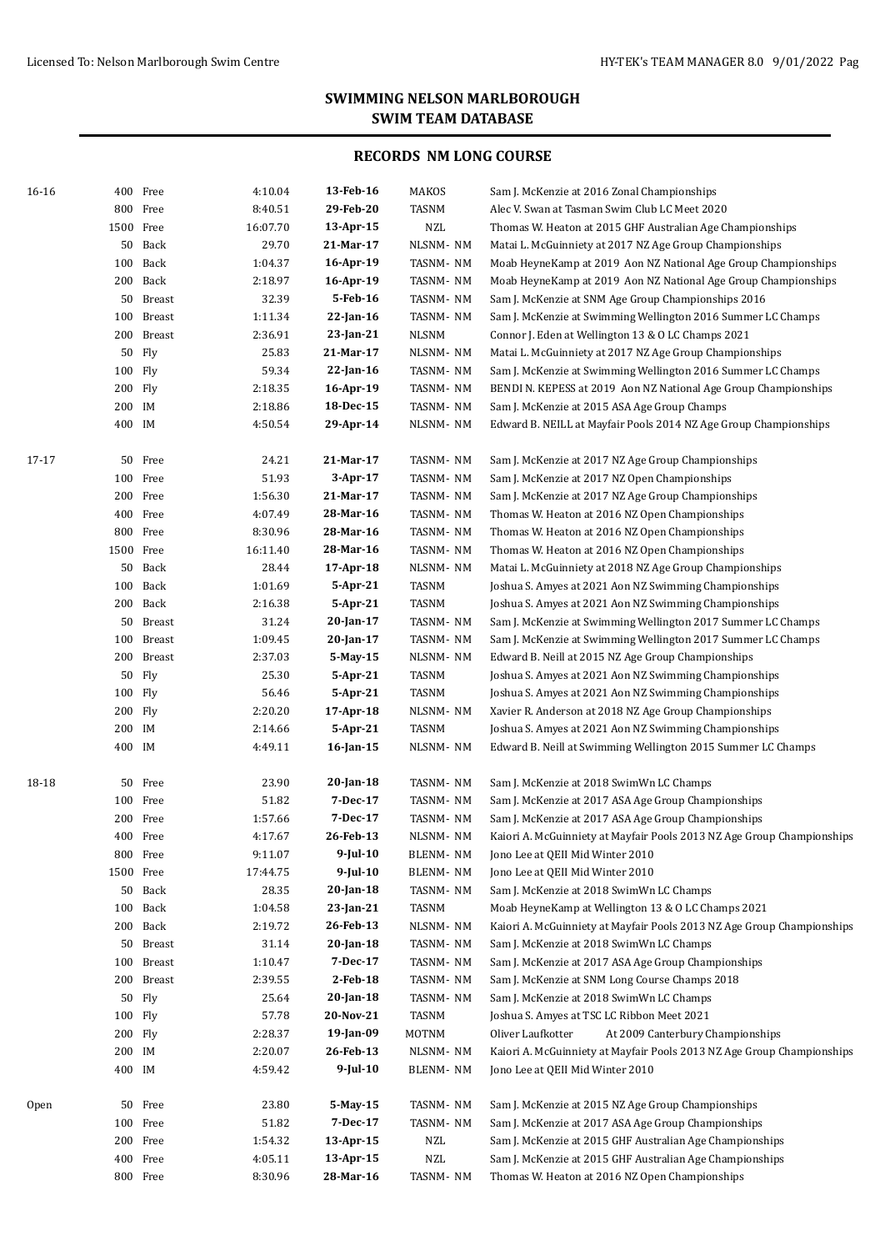| 16-16 |         | 400 Free   | 4:10.04  | 13-Feb-16    | MAKOS        | Sam J. McKenzie at 2016 Zonal Championships                            |
|-------|---------|------------|----------|--------------|--------------|------------------------------------------------------------------------|
|       |         | 800 Free   | 8:40.51  | 29-Feb-20    | <b>TASNM</b> | Alec V. Swan at Tasman Swim Club LC Meet 2020                          |
|       |         | 1500 Free  | 16:07.70 | 13-Apr-15    | <b>NZL</b>   | Thomas W. Heaton at 2015 GHF Australian Age Championships              |
|       |         | 50 Back    | 29.70    | 21-Mar-17    | NLSNM-NM     | Matai L. McGuinniety at 2017 NZ Age Group Championships                |
|       | 100     | Back       | 1:04.37  | 16-Apr-19    | TASNM-NM     | Moab HeyneKamp at 2019 Aon NZ National Age Group Championships         |
|       |         | 200 Back   | 2:18.97  | 16-Apr-19    | TASNM-NM     | Moab HeyneKamp at 2019 Aon NZ National Age Group Championships         |
|       |         | 50 Breast  | 32.39    | 5-Feb-16     | TASNM-NM     | Sam J. McKenzie at SNM Age Group Championships 2016                    |
|       |         | 100 Breast | 1:11.34  | 22-Jan-16    | TASNM-NM     | Sam J. McKenzie at Swimming Wellington 2016 Summer LC Champs           |
|       |         | 200 Breast | 2:36.91  | 23-Jan-21    | <b>NLSNM</b> | Connor J. Eden at Wellington 13 & O LC Champs 2021                     |
|       |         | 50 Fly     | 25.83    | 21-Mar-17    | NLSNM-NM     | Matai L. McGuinniety at 2017 NZ Age Group Championships                |
|       | 100 Fly |            | 59.34    | 22-Jan-16    | TASNM-NM     | Sam J. McKenzie at Swimming Wellington 2016 Summer LC Champs           |
|       |         | 200 Fly    | 2:18.35  | 16-Apr-19    | TASNM-NM     | BENDI N. KEPESS at 2019 Aon NZ National Age Group Championships        |
|       | 200 IM  |            | 2:18.86  | 18-Dec-15    | TASNM-NM     | Sam J. McKenzie at 2015 ASA Age Group Champs                           |
|       | 400 IM  |            | 4:50.54  | 29-Apr-14    | NLSNM-NM     | Edward B. NEILL at Mayfair Pools 2014 NZ Age Group Championships       |
| 17-17 |         | 50 Free    | 24.21    | 21-Mar-17    | TASNM-NM     | Sam J. McKenzie at 2017 NZ Age Group Championships                     |
|       |         | 100 Free   | 51.93    | 3-Apr-17     | TASNM-NM     | Sam J. McKenzie at 2017 NZ Open Championships                          |
|       |         | 200 Free   | 1:56.30  | 21-Mar-17    | TASNM-NM     | Sam J. McKenzie at 2017 NZ Age Group Championships                     |
|       |         | 400 Free   | 4:07.49  | 28-Mar-16    | TASNM-NM     | Thomas W. Heaton at 2016 NZ Open Championships                         |
|       |         | 800 Free   | 8:30.96  | 28-Mar-16    | TASNM-NM     | Thomas W. Heaton at 2016 NZ Open Championships                         |
|       |         | 1500 Free  | 16:11.40 | 28-Mar-16    | TASNM-NM     | Thomas W. Heaton at 2016 NZ Open Championships                         |
|       |         | 50 Back    | 28.44    | 17-Apr-18    | NLSNM-NM     | Matai L. McGuinniety at 2018 NZ Age Group Championships                |
|       |         | 100 Back   | 1:01.69  | 5-Apr-21     | TASNM        | Joshua S. Amyes at 2021 Aon NZ Swimming Championships                  |
|       |         | 200 Back   | 2:16.38  | 5-Apr-21     | TASNM        | Joshua S. Amyes at 2021 Aon NZ Swimming Championships                  |
|       |         | 50 Breast  | 31.24    | 20-Jan-17    | TASNM-NM     | Sam J. McKenzie at Swimming Wellington 2017 Summer LC Champs           |
|       |         | 100 Breast | 1:09.45  | 20-Jan-17    | TASNM-NM     | Sam J. McKenzie at Swimming Wellington 2017 Summer LC Champs           |
|       |         | 200 Breast | 2:37.03  | 5-May-15     | NLSNM-NM     | Edward B. Neill at 2015 NZ Age Group Championships                     |
|       | 50      | Fly        | 25.30    | 5-Apr-21     | TASNM        | Joshua S. Amyes at 2021 Aon NZ Swimming Championships                  |
|       | 100 Fly |            | 56.46    | 5-Apr-21     | TASNM        | Joshua S. Amyes at 2021 Aon NZ Swimming Championships                  |
|       |         | 200 Fly    | 2:20.20  | 17-Apr-18    | NLSNM-NM     | Xavier R. Anderson at 2018 NZ Age Group Championships                  |
|       | 200 IM  |            | 2:14.66  | 5-Apr-21     | TASNM        | Joshua S. Amyes at 2021 Aon NZ Swimming Championships                  |
|       | 400 IM  |            | 4:49.11  | 16-Jan-15    | NLSNM-NM     | Edward B. Neill at Swimming Wellington 2015 Summer LC Champs           |
| 18-18 |         | 50 Free    | 23.90    | 20-Jan-18    | TASNM-NM     | Sam J. McKenzie at 2018 SwimWn LC Champs                               |
|       |         | 100 Free   | 51.82    | 7-Dec-17     | TASNM-NM     | Sam J. McKenzie at 2017 ASA Age Group Championships                    |
|       | 200     | Free       | 1:57.66  | 7-Dec-17     | TASNM-NM     | Sam J. McKenzie at 2017 ASA Age Group Championships                    |
|       |         | 400 Free   | 4:17.67  | 26-Feb-13    | NLSNM-NM     | Kaiori A. McGuinniety at Mayfair Pools 2013 NZ Age Group Championships |
|       |         | 800 Free   | 9:11.07  | $9$ -Jul-10  | BLENM-NM     | Jono Lee at QEII Mid Winter 2010                                       |
|       |         | 1500 Free  | 17:44.75 | 9-Jul-10     | BLENM-NM     | Jono Lee at QEII Mid Winter 2010                                       |
|       | 50      | Back       | 28.35    | $20$ -Jan-18 | TASNM-NM     | Sam J. McKenzie at 2018 SwimWn LC Champs                               |
|       | 100     | Back       | 1:04.58  | 23-Jan-21    | TASNM        | Moab HeyneKamp at Wellington 13 & O LC Champs 2021                     |
|       |         | 200 Back   | 2:19.72  | 26-Feb-13    | NLSNM-NM     | Kaiori A. McGuinniety at Mayfair Pools 2013 NZ Age Group Championships |
|       | 50      | Breast     | 31.14    | $20$ -Jan-18 | TASNM-NM     | Sam J. McKenzie at 2018 SwimWn LC Champs                               |
|       |         | 100 Breast | 1:10.47  | 7-Dec-17     | TASNM-NM     | Sam J. McKenzie at 2017 ASA Age Group Championships                    |
|       |         | 200 Breast | 2:39.55  | 2-Feb-18     | TASNM-NM     | Sam J. McKenzie at SNM Long Course Champs 2018                         |
|       | 50      | Fly        | 25.64    | $20$ -Jan-18 | TASNM-NM     | Sam J. McKenzie at 2018 SwimWn LC Champs                               |
|       | 100 Fly |            | 57.78    | 20-Nov-21    | <b>TASNM</b> | Joshua S. Amyes at TSC LC Ribbon Meet 2021                             |
|       |         | 200 Fly    | 2:28.37  | 19-Jan-09    | <b>MOTNM</b> | Oliver Laufkotter<br>At 2009 Canterbury Championships                  |
|       | 200 IM  |            | 2:20.07  | 26-Feb-13    | NLSNM-NM     | Kaiori A. McGuinniety at Mayfair Pools 2013 NZ Age Group Championships |
|       | 400 IM  |            | 4:59.42  | $9$ -Jul-10  | BLENM-NM     | Jono Lee at QEII Mid Winter 2010                                       |
| Open  | 50      | Free       | 23.80    | 5-May-15     | TASNM-NM     | Sam J. McKenzie at 2015 NZ Age Group Championships                     |
|       |         | 100 Free   | 51.82    | 7-Dec-17     | TASNM-NM     | Sam J. McKenzie at 2017 ASA Age Group Championships                    |
|       |         | 200 Free   | 1:54.32  | 13-Apr-15    | <b>NZL</b>   | Sam J. McKenzie at 2015 GHF Australian Age Championships               |
|       |         | 400 Free   | 4:05.11  | 13-Apr-15    | $\sf NZL$    | Sam J. McKenzie at 2015 GHF Australian Age Championships               |
|       |         | 800 Free   | 8:30.96  | 28-Mar-16    | TASNM-NM     | Thomas W. Heaton at 2016 NZ Open Championships                         |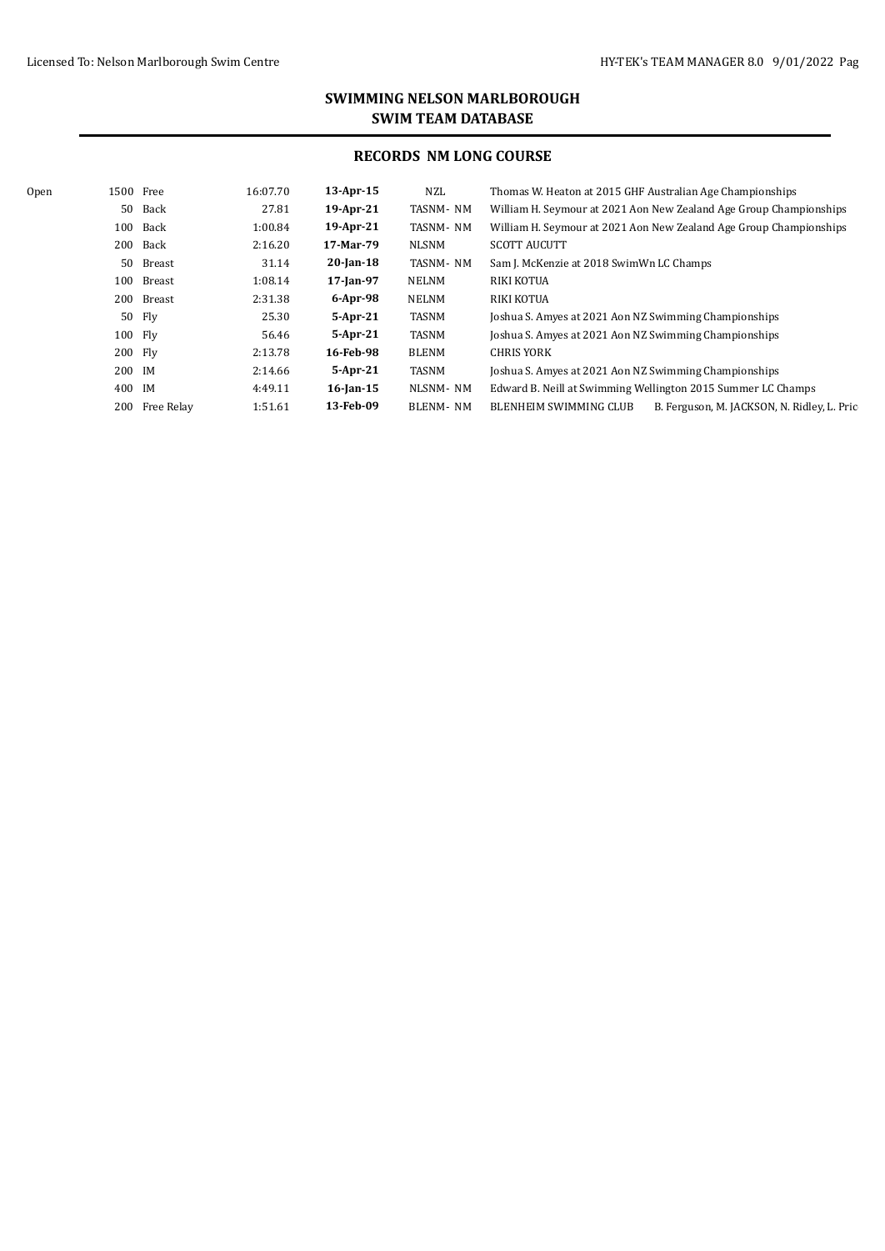| Open | 1500 Free |                | 16:07.70 | $13$ -Apr-15    | NZL             | Thomas W. Heaton at 2015 GHF Australian Age Championships             |
|------|-----------|----------------|----------|-----------------|-----------------|-----------------------------------------------------------------------|
|      | 50        | Back           | 27.81    | 19-Apr-21       | TASNM-NM        | William H. Seymour at 2021 Aon New Zealand Age Group Championships    |
|      | 100       | Back           | 1:00.84  | 19-Apr-21       | TASNM-NM        | William H. Seymour at 2021 Aon New Zealand Age Group Championships    |
|      |           | 200 Back       | 2:16.20  | 17-Mar-79       | <b>NLSNM</b>    | <b>SCOTT AUCUTT</b>                                                   |
|      |           | 50 Breast      | 31.14    | $20$ -Jan-18    | TASNM-NM        | Sam J. McKenzie at 2018 SwimWn LC Champs                              |
|      | 100       | Breast         | 1:08.14  | 17-Jan-97       | NELNM           | <b>RIKI KOTUA</b>                                                     |
|      |           | 200 Breast     | 2:31.38  | 6-Apr-98        | NELNM           | <b>RIKI KOTUA</b>                                                     |
|      |           | $50$ Fly       | 25.30    | 5-Apr-21        | TASNM           | Joshua S. Amyes at 2021 Aon NZ Swimming Championships                 |
|      | 100 Fly   |                | 56.46    | $5-Apr-21$      | TASNM           | Joshua S. Amyes at 2021 Aon NZ Swimming Championships                 |
|      | 200 Fly   |                | 2:13.78  | 16-Feb-98       | <b>BLENM</b>    | <b>CHRIS YORK</b>                                                     |
|      | 200 IM    |                | 2:14.66  | 5-Apr-21        | TASNM           | Joshua S. Amyes at 2021 Aon NZ Swimming Championships                 |
|      | 400 IM    |                | 4:49.11  | $16$ -Jan- $15$ | NLSNM-NM        | Edward B. Neill at Swimming Wellington 2015 Summer LC Champs          |
|      |           | 200 Free Relay | 1:51.61  | 13-Feb-09       | <b>BLENM-NM</b> | BLENHEIM SWIMMING CLUB<br>B. Ferguson, M. JACKSON, N. Ridley, L. Pric |